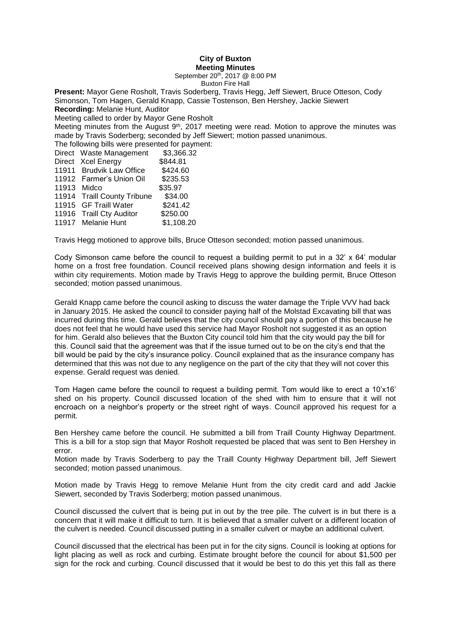## **City of Buxton Meeting Minutes**

September 20<sup>th</sup>, 2017 @ 8:00 PM

Buxton Fire Hall

**Present:** Mayor Gene Rosholt, Travis Soderberg, Travis Hegg, Jeff Siewert, Bruce Otteson, Cody Simonson, Tom Hagen, Gerald Knapp, Cassie Tostenson, Ben Hershey, Jackie Siewert **Recording:** Melanie Hunt, Auditor Meeting called to order by Mayor Gene Rosholt Meeting minutes from the August  $9<sup>th</sup>$ , 2017 meeting were read. Motion to approve the minutes was made by Travis Soderberg; seconded by Jeff Siewert; motion passed unanimous. The following bills were presented for payment: Direct Waste Management \$3,366.32 Direct Xcel Energy \$844.81 11911 Brudvik Law Office \$424.60 11912 Farmer's Union Oil \$235.53 11913 Midco \$35.97 11914 Traill County Tribune \$34.00 11915 GF Traill Water \$241.42 11916 Traill Cty Auditor \$250.00 11917 Melanie Hunt \$1,108.20

Travis Hegg motioned to approve bills, Bruce Otteson seconded; motion passed unanimous.

Cody Simonson came before the council to request a building permit to put in a 32' x 64' modular home on a frost free foundation. Council received plans showing design information and feels it is within city requirements. Motion made by Travis Hegg to approve the building permit, Bruce Otteson seconded; motion passed unanimous.

Gerald Knapp came before the council asking to discuss the water damage the Triple VVV had back in January 2015. He asked the council to consider paying half of the Molstad Excavating bill that was incurred during this time. Gerald believes that the city council should pay a portion of this because he does not feel that he would have used this service had Mayor Rosholt not suggested it as an option for him. Gerald also believes that the Buxton City council told him that the city would pay the bill for this. Council said that the agreement was that if the issue turned out to be on the city's end that the bill would be paid by the city's insurance policy. Council explained that as the insurance company has determined that this was not due to any negligence on the part of the city that they will not cover this expense. Gerald request was denied.

Tom Hagen came before the council to request a building permit. Tom would like to erect a 10'x16' shed on his property. Council discussed location of the shed with him to ensure that it will not encroach on a neighbor's property or the street right of ways. Council approved his request for a permit.

Ben Hershey came before the council. He submitted a bill from Traill County Highway Department. This is a bill for a stop sign that Mayor Rosholt requested be placed that was sent to Ben Hershey in error.

Motion made by Travis Soderberg to pay the Traill County Highway Department bill, Jeff Siewert seconded; motion passed unanimous.

Motion made by Travis Hegg to remove Melanie Hunt from the city credit card and add Jackie Siewert, seconded by Travis Soderberg; motion passed unanimous.

Council discussed the culvert that is being put in out by the tree pile. The culvert is in but there is a concern that it will make it difficult to turn. It is believed that a smaller culvert or a different location of the culvert is needed. Council discussed putting in a smaller culvert or maybe an additional culvert.

Council discussed that the electrical has been put in for the city signs. Council is looking at options for light placing as well as rock and curbing. Estimate brought before the council for about \$1,500 per sign for the rock and curbing. Council discussed that it would be best to do this yet this fall as there